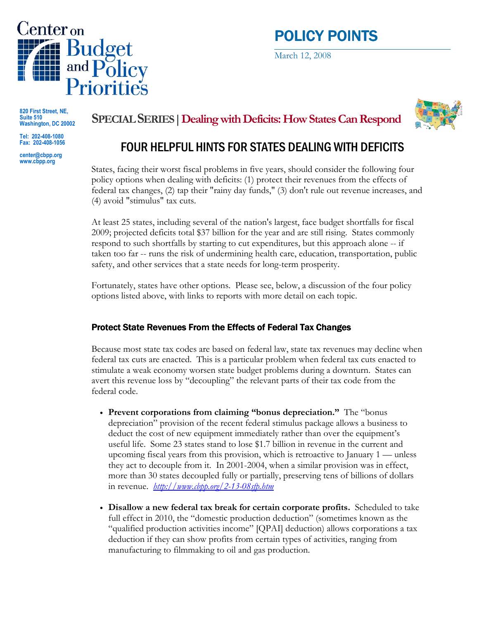

# POLICY POINTS

March 12, 2008

820 First Street, NE, Suite 510 Washington, DC 20002

Tel: 202-408-1080 Fax: 202-408-1056

center@cbpp.org www.cbpp.org

## SPECIAL SERIES|Dealing with Deficits: How States Can Respond



# FOUR HELPFUL HINTS FOR STATES DEALING WITH DEFICITS

States, facing their worst fiscal problems in five years, should consider the following four policy options when dealing with deficits: (1) protect their revenues from the effects of federal tax changes, (2) tap their "rainy day funds," (3) don't rule out revenue increases, and (4) avoid "stimulus" tax cuts.

At least 25 states, including several of the nation's largest, face budget shortfalls for fiscal 2009; projected deficits total \$37 billion for the year and are still rising. States commonly respond to such shortfalls by starting to cut expenditures, but this approach alone -- if taken too far -- runs the risk of undermining health care, education, transportation, public safety, and other services that a state needs for long-term prosperity.

Fortunately, states have other options. Please see, below, a discussion of the four policy options listed above, with links to reports with more detail on each topic.

#### Protect State Revenues From the Effects of Federal Tax Changes

Because most state tax codes are based on federal law, state tax revenues may decline when federal tax cuts are enacted. This is a particular problem when federal tax cuts enacted to stimulate a weak economy worsen state budget problems during a downturn. States can avert this revenue loss by "decoupling" the relevant parts of their tax code from the federal code.

- Prevent corporations from claiming "bonus depreciation." The "bonus depreciation" provision of the recent federal stimulus package allows a business to deduct the cost of new equipment immediately rather than over the equipment's useful life. Some 23 states stand to lose \$1.7 billion in revenue in the current and upcoming fiscal years from this provision, which is retroactive to January 1 — unless they act to decouple from it. In 2001-2004, when a similar provision was in effect, more than 30 states decoupled fully or partially, preserving tens of billions of dollars in revenue. *http://www.cbpp.org/2-13-08sfp.htm*
- Disallow a new federal tax break for certain corporate profits. Scheduled to take full effect in 2010, the "domestic production deduction" (sometimes known as the "qualified production activities income" [QPAI] deduction) allows corporations a tax deduction if they can show profits from certain types of activities, ranging from manufacturing to filmmaking to oil and gas production.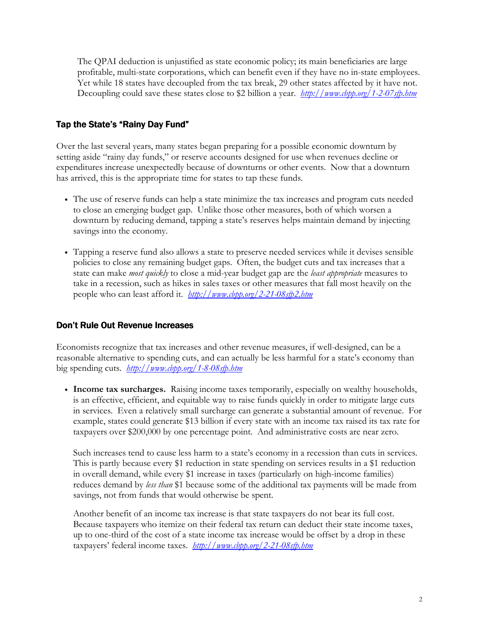The QPAI deduction is unjustified as state economic policy; its main beneficiaries are large profitable, multi-state corporations, which can benefit even if they have no in-state employees. Yet while 18 states have decoupled from the tax break, 29 other states affected by it have not. Decoupling could save these states close to \$2 billion a year. *http://www.cbpp.org/1-2-07sfp.htm* 

#### Tap the State's "Rainy Day Fund"

Over the last several years, many states began preparing for a possible economic downturn by setting aside "rainy day funds," or reserve accounts designed for use when revenues decline or expenditures increase unexpectedly because of downturns or other events. Now that a downturn has arrived, this is the appropriate time for states to tap these funds.

- The use of reserve funds can help a state minimize the tax increases and program cuts needed to close an emerging budget gap. Unlike those other measures, both of which worsen a downturn by reducing demand, tapping a state's reserves helps maintain demand by injecting savings into the economy.
- Tapping a reserve fund also allows a state to preserve needed services while it devises sensible policies to close any remaining budget gaps. Often, the budget cuts and tax increases that a state can make *most quickly* to close a mid-year budget gap are the *least appropriate* measures to take in a recession, such as hikes in sales taxes or other measures that fall most heavily on the people who can least afford it. *http://www.cbpp.org/2-21-08sfp2.htm*

#### Don't Rule Out Revenue Increases

Economists recognize that tax increases and other revenue measures, if well-designed, can be a reasonable alternative to spending cuts, and can actually be less harmful for a state's economy than big spending cuts. http://www.cbpp.org/1-8-08sfp.htm

• Income tax surcharges. Raising income taxes temporarily, especially on wealthy households, is an effective, efficient, and equitable way to raise funds quickly in order to mitigate large cuts in services. Even a relatively small surcharge can generate a substantial amount of revenue. For example, states could generate \$13 billion if every state with an income tax raised its tax rate for taxpayers over \$200,000 by one percentage point. And administrative costs are near zero.

Such increases tend to cause less harm to a state's economy in a recession than cuts in services. This is partly because every \$1 reduction in state spending on services results in a \$1 reduction in overall demand, while every \$1 increase in taxes (particularly on high-income families) reduces demand by less than \$1 because some of the additional tax payments will be made from savings, not from funds that would otherwise be spent.

Another benefit of an income tax increase is that state taxpayers do not bear its full cost. Because taxpayers who itemize on their federal tax return can deduct their state income taxes, up to one-third of the cost of a state income tax increase would be offset by a drop in these taxpayers' federal income taxes. *http://www.cbpp.org/2-21-08sfp.htm*